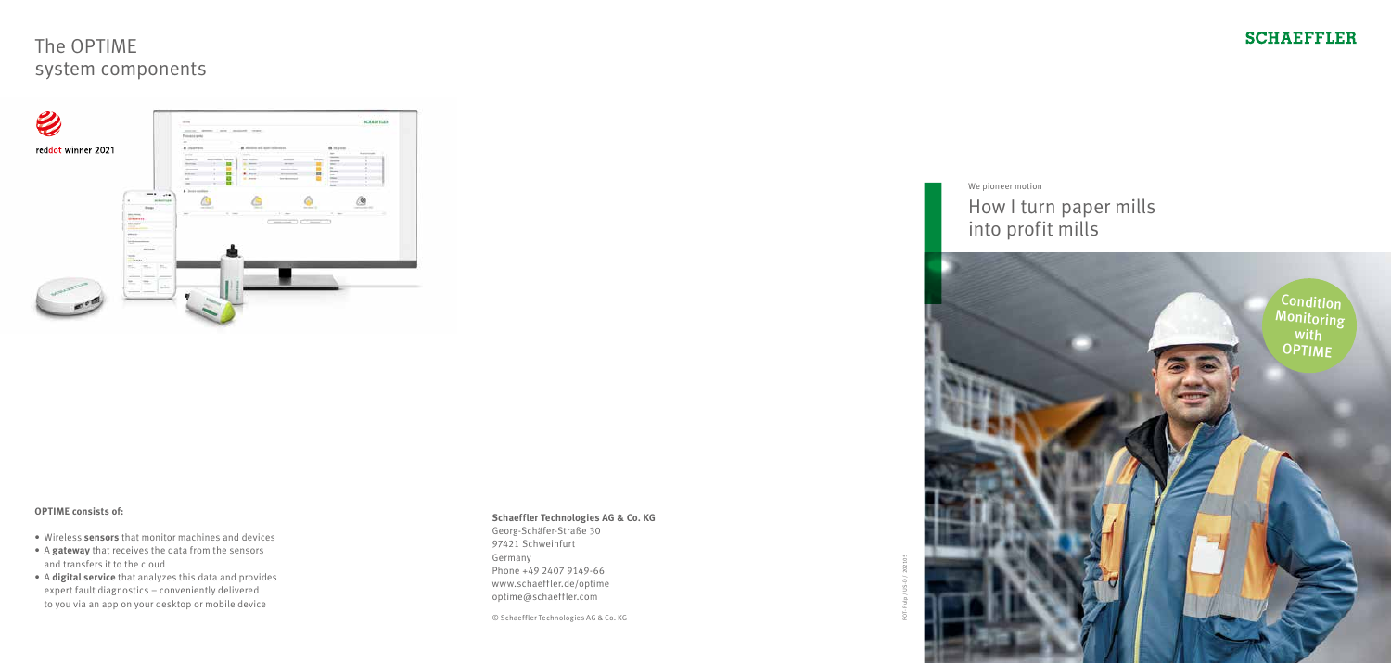

# The OPTIME system components



### **OPTIME consists of:**

- Wireless **sensors** that monitor machines and devices
- A **gateway** that receives the data from the sensors and transfers it to the cloud
- A **digital service** that analyzes this data and provides expert fault diagnostics – conveniently delivered to you via an app on your desktop or mobile device

### **Schaeffler Technologies AG & Co. KG**

Georg-Schäfer-Straße 30 97421 Schweinfurt Germany Phone +49 2407 9149-66 www.schaeffler.de/optime optime@schaeffler.com

© Schaeffler Technologies AG & Co. KG



FOT- Pulp / US-D / 202105



We pioneer motion

## How I turn paper mills into profit mills